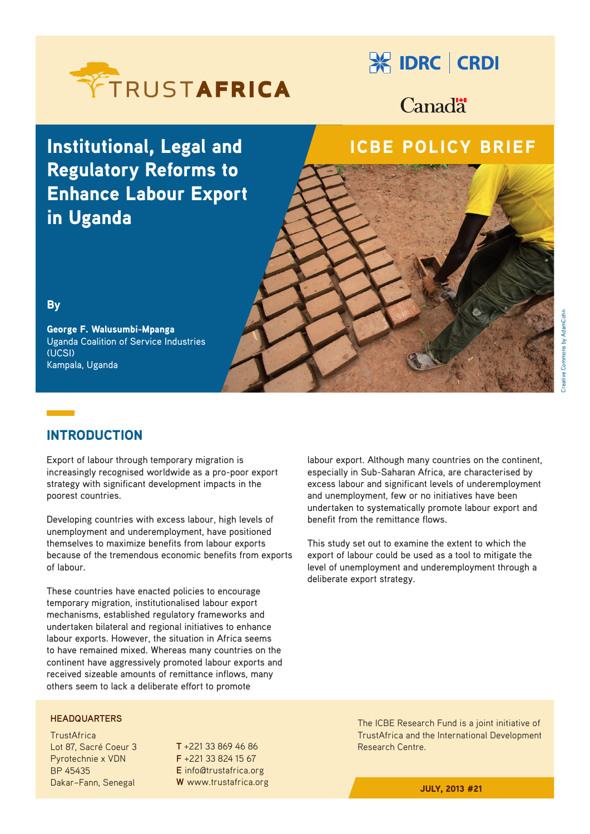

# **X IDRC | CRDI**

Canad<sup>"</sup>

# Institutional, Legal and Regulatory Reforms to Enhance Labour Export in Uganda

## ICBE POLICY BRIEF

### **By**

George F. Walusumbi-Mpanga Uganda Coalition of Service Industries (UCSI) Kampala, Uganda

## INTRODUCTION

Export of labour through temporary migration is increasingly recognised worldwide as a pro-poor export strategy with significant development impacts in the poorest countries.

Developing countries with excess labour, high levels of unemployment and underemployment, have positioned themselves to maximize benefits from labour exports because of the tremendous economic benefits from exports of labour.

These countries have enacted policies to encourage temporary migration, institutionalised labour export mechanisms, established regulatory frameworks and undertaken bilateral and regional initiatives to enhance labour exports. However, the situation in Africa seems to have remained mixed. Whereas many countries on the continent have aggressively promoted labour exports and received sizeable amounts of remittance inflows, many others seem to lack a deliberate effort to promote

**HEADQUARTERS**

**TrustAfrica** Lot 87, Sacré Coeur 3 Pyrotechnie x VDN BP 45435 Dakar–Fann, Senegal

**T** +221 33 869 46 86 **F** +221 33 824 15 67 **E** info@trustafrica.org **W** www.trustafrica.org labour export. Although many countries on the continent, especially in Sub-Saharan Africa, are characterised by excess labour and significant levels of underemployment and unemployment, few or no initiatives have been undertaken to systematically promote labour export and benefit from the remittance flows.

This study set out to examine the extent to which the export of labour could be used as a tool to mitigate the level of unemployment and underemployment through a deliberate export strategy.

> The ICBE Research Fund is a joint initiative of TrustAfrica and the International Development Research Centre.

> > JULY, 2013 #21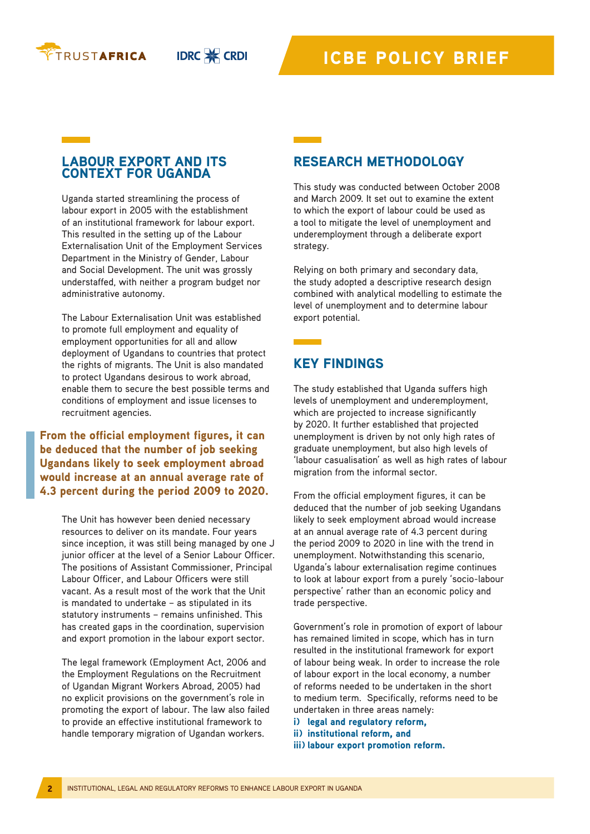

**IDRC & CRDI** 

### LABOUR EXPORT AND ITS CONTEXT FOR UGANDA

Uganda started streamlining the process of labour export in 2005 with the establishment of an institutional framework for labour export. This resulted in the setting up of the Labour Externalisation Unit of the Employment Services Department in the Ministry of Gender, Labour and Social Development. The unit was grossly understaffed, with neither a program budget nor administrative autonomy.

The Labour Externalisation Unit was established to promote full employment and equality of employment opportunities for all and allow deployment of Ugandans to countries that protect the rights of migrants. The Unit is also mandated to protect Ugandans desirous to work abroad, enable them to secure the best possible terms and conditions of employment and issue licenses to recruitment agencies.

From the official employment figures, it can be deduced that the number of job seeking Ugandans likely to seek employment abroad would increase at an annual average rate of 4.3 percent during the period 2009 to 2020.

The Unit has however been denied necessary resources to deliver on its mandate. Four years since inception, it was still being managed by one J junior officer at the level of a Senior Labour Officer. The positions of Assistant Commissioner, Principal Labour Officer, and Labour Officers were still vacant. As a result most of the work that the Unit is mandated to undertake – as stipulated in its statutory instruments – remains unfinished. This has created gaps in the coordination, supervision and export promotion in the labour export sector.

The legal framework (Employment Act, 2006 and the Employment Regulations on the Recruitment of Ugandan Migrant Workers Abroad, 2005) had no explicit provisions on the government's role in promoting the export of labour. The law also failed to provide an effective institutional framework to handle temporary migration of Ugandan workers.

### RESEARCH METHODOLOGY

This study was conducted between October 2008 and March 2009. It set out to examine the extent to which the export of labour could be used as a tool to mitigate the level of unemployment and underemployment through a deliberate export strategy.

Relying on both primary and secondary data, the study adopted a descriptive research design combined with analytical modelling to estimate the level of unemployment and to determine labour export potential.

### KEY FINDINGS

The study established that Uganda suffers high levels of unemployment and underemployment, which are projected to increase significantly by 2020. It further established that projected unemployment is driven by not only high rates of graduate unemployment, but also high levels of 'labour casualisation' as well as high rates of labour migration from the informal sector.

From the official employment figures, it can be deduced that the number of job seeking Ugandans likely to seek employment abroad would increase at an annual average rate of 4.3 percent during the period 2009 to 2020 in line with the trend in unemployment. Notwithstanding this scenario, Uganda's labour externalisation regime continues to look at labour export from a purely 'socio-labour perspective' rather than an economic policy and trade perspective.

Government's role in promotion of export of labour has remained limited in scope, which has in turn resulted in the institutional framework for export of labour being weak. In order to increase the role of labour export in the local economy, a number of reforms needed to be undertaken in the short to medium term. Specifically, reforms need to be undertaken in three areas namely:

i) legal and regulatory reform.

- ii) institutional reform, and
- iii) labour export promotion reform.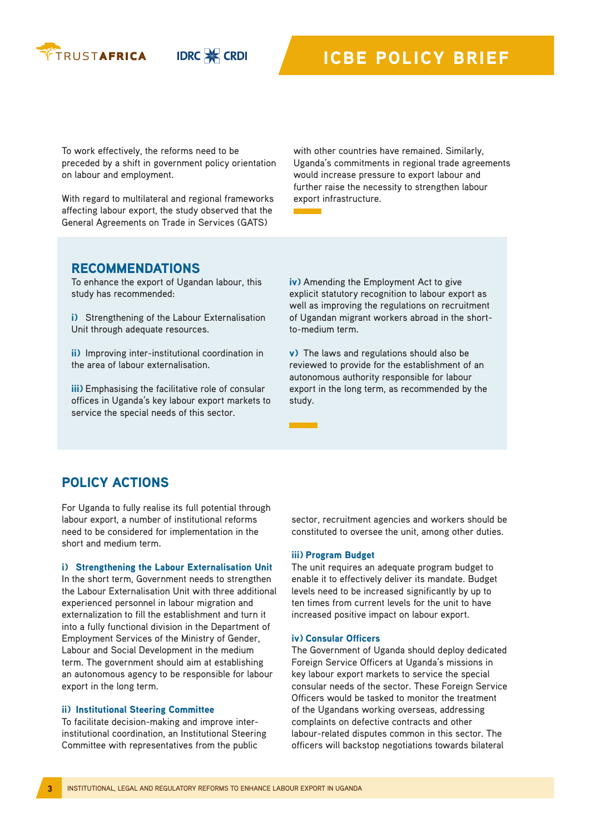

**IDRC & CRDI** 

To work effectively, the reforms need to be preceded by a shift in government policy orientation on labour and employment.

With regard to multilateral and regional frameworks affecting labour export, the study observed that the General Agreements on Trade in Services (GATS)

with other countries have remained. Similarly, Uganda's commitments in regional trade agreements would increase pressure to export labour and further raise the necessity to strengthen labour export infrastructure.

### RECOMMENDATIONS

To enhance the export of Ugandan labour, this study has recommended:

i) Strengthening of the Labour Externalisation Unit through adequate resources.

ii) Improving inter-institutional coordination in the area of labour externalisation.

iii) Emphasising the facilitative role of consular offices in Uganda's key labour export markets to service the special needs of this sector.

iv) Amending the Employment Act to give explicit statutory recognition to labour export as well as improving the regulations on recruitment of Ugandan migrant workers abroad in the shortto-medium term.

v) The laws and regulations should also be reviewed to provide for the establishment of an autonomous authority responsible for labour export in the long term, as recommended by the study.

### POLICY ACTIONS

For Uganda to fully realise its full potential through labour export, a number of institutional reforms need to be considered for implementation in the short and medium term.

### i) Strengthening the Labour Externalisation Unit

In the short term, Government needs to strengthen the Labour Externalisation Unit with three additional experienced personnel in labour migration and externalization to fill the establishment and turn it into a fully functional division in the Department of Employment Services of the Ministry of Gender, Labour and Social Development in the medium term. The government should aim at establishing an autonomous agency to be responsible for labour export in the long term.

### ii) Institutional Steering Committee

To facilitate decision-making and improve interinstitutional coordination, an Institutional Steering Committee with representatives from the public

sector, recruitment agencies and workers should be constituted to oversee the unit, among other duties.

### iii) Program Budget

The unit requires an adequate program budget to enable it to effectively deliver its mandate. Budget levels need to be increased significantly by up to ten times from current levels for the unit to have increased positive impact on labour export.

### iv) Consular Officers

The Government of Uganda should deploy dedicated Foreign Service Officers at Uganda's missions in key labour export markets to service the special consular needs of the sector. These Foreign Service Officers would be tasked to monitor the treatment of the Ugandans working overseas, addressing complaints on defective contracts and other labour-related disputes common in this sector. The officers will backstop negotiations towards bilateral